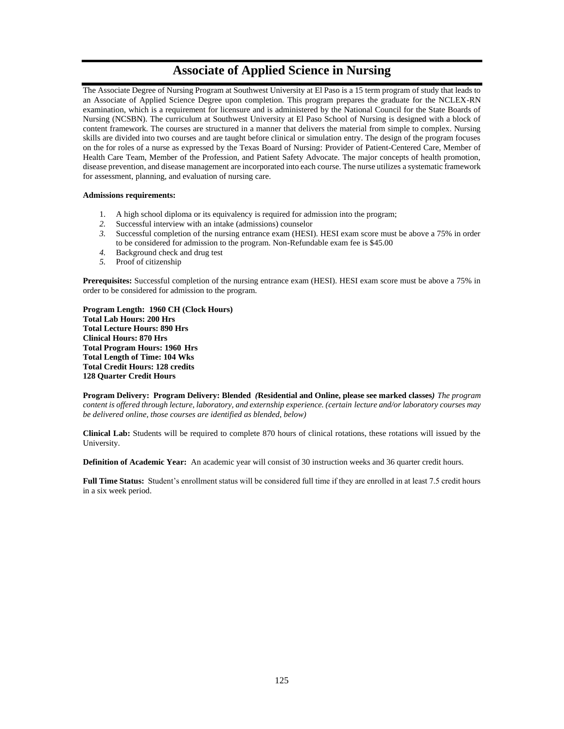# **Associate of Applied Science in Nursing**

The Associate Degree of Nursing Program at Southwest University at El Paso is a 15 term program of study that leads to an Associate of Applied Science Degree upon completion. This program prepares the graduate for the NCLEX-RN examination, which is a requirement for licensure and is administered by the National Council for the State Boards of Nursing (NCSBN). The curriculum at Southwest University at El Paso School of Nursing is designed with a block of content framework. The courses are structured in a manner that delivers the material from simple to complex. Nursing skills are divided into two courses and are taught before clinical or simulation entry. The design of the program focuses on the for roles of a nurse as expressed by the Texas Board of Nursing: Provider of Patient-Centered Care, Member of Health Care Team, Member of the Profession, and Patient Safety Advocate. The major concepts of health promotion, disease prevention, and disease management are incorporated into each course. The nurse utilizes a systematic framework for assessment, planning, and evaluation of nursing care.

#### **Admissions requirements:**

- 1. A high school diploma or its equivalency is required for admission into the program;
- *2.* Successful interview with an intake (admissions) counselor
- *3.* Successful completion of the nursing entrance exam (HESI). HESI exam score must be above a 75% in order to be considered for admission to the program. Non-Refundable exam fee is \$45.00
- *4.* Background check and drug test
- *5.* Proof of citizenship

**Prerequisites:** Successful completion of the nursing entrance exam (HESI). HESI exam score must be above a 75% in order to be considered for admission to the program.

**Program Length: 1960 CH (Clock Hours) Total Lab Hours: 200 Hrs Total Lecture Hours: 890 Hrs Clinical Hours: 870 Hrs Total Program Hours: 1960 Hrs Total Length of Time: 104 Wks Total Credit Hours: 128 credits 128 Quarter Credit Hours** 

**Program Delivery: Program Delivery: Blended** *(***Residential and Online, please see marked classes***) The program content is offered through lecture, laboratory, and externship experience. (certain lecture and/or laboratory courses may be delivered online, those courses are identified as blended, below)*

**Clinical Lab:** Students will be required to complete 870 hours of clinical rotations, these rotations will issued by the University.

**Definition of Academic Year:** An academic year will consist of 30 instruction weeks and 36 quarter credit hours.

**Full Time Status:** Student's enrollment status will be considered full time if they are enrolled in at least 7.5 credit hours in a six week period.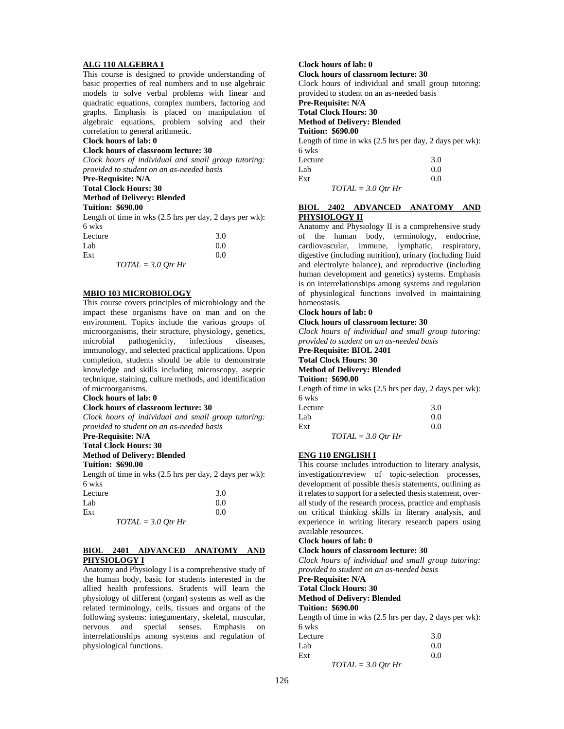#### **ALG 110 ALGEBRA I**

This course is designed to provide understanding of basic properties of real numbers and to use algebraic models to solve verbal problems with linear and quadratic equations, complex numbers, factoring and graphs. Emphasis is placed on manipulation of algebraic equations, problem solving and their correlation to general arithmetic.

# **Clock hours of lab: 0**

#### **Clock hours of classroom lecture: 30**

*Clock hours of individual and small group tutoring: provided to student on an as-needed basis*

# **Pre-Requisite: N/A**

**Total Clock Hours: 30 Method of Delivery: Blended** 

# **Tuition: \$690.00**

Length of time in wks (2.5 hrs per day, 2 days per wk): 6 wks

| Lecture              | 3.0 |
|----------------------|-----|
| Lab                  | 0.0 |
| Ext                  | 0.0 |
| $TOTAL = 3.0 Qtr Hr$ |     |

### **MBIO 103 MICROBIOLOGY**

This course covers principles of microbiology and the impact these organisms have on man and on the environment. Topics include the various groups of microorganisms, their structure, physiology, genetics, microbial pathogenicity, infectious diseases, immunology, and selected practical applications. Upon completion, students should be able to demonstrate knowledge and skills including microscopy, aseptic technique, staining, culture methods, and identification of microorganisms.

#### **Clock hours of lab: 0**

#### **Clock hours of classroom lecture: 30**

*Clock hours of individual and small group tutoring: provided to student on an as-needed basis*

# **Pre-Requisite: N/A**

**Total Clock Hours: 30 Method of Delivery: Blended**

**Tuition: \$690.00**

Length of time in wks (2.5 hrs per day, 2 days per wk): 6 wks

| Lecture              | 3.0 |
|----------------------|-----|
| Lab                  | 0.0 |
| Ext                  | 0.0 |
| $TOTAL = 3.0$ Otr Hr |     |

### **BIOL 2401 ADVANCED ANATOMY AND PHYSIOLOGY I**

Anatomy and Physiology I is a comprehensive study of the human body, basic for students interested in the allied health professions. Students will learn the physiology of different (organ) systems as well as the related terminology, cells, tissues and organs of the following systems: integumentary, skeletal, muscular, nervous and special senses. Emphasis on interrelationships among systems and regulation of physiological functions.

# **Clock hours of lab: 0**

**Clock hours of classroom lecture: 30**

Clock hours of individual and small group tutoring: provided to student on an as-needed basis

#### **Pre-Requisite: N/A**

**Total Clock Hours: 30**

**Method of Delivery: Blended**

**Tuition: \$690.00**

Length of time in wks (2.5 hrs per day, 2 days per wk): 6 wks

| Lecture              | 3.0 |
|----------------------|-----|
| Lab                  | 0.0 |
| Ext                  | 0.0 |
| $TOTAL = 3.0$ Otr Hr |     |

### **BIOL 2402 ADVANCED ANATOMY AND PHYSIOLOGY II**

Anatomy and Physiology II is a comprehensive study of the human body, terminology, endocrine, cardiovascular, immune, lymphatic, respiratory, digestive (including nutrition), urinary (including fluid and electrolyte balance), and reproductive (including human development and genetics) systems. Emphasis is on interrelationships among systems and regulation of physiological functions involved in maintaining homeostasis.

## **Clock hours of lab: 0**

### **Clock hours of classroom lecture: 30**

*Clock hours of individual and small group tutoring: provided to student on an as-needed basis*

**Pre-Requisite: BIOL 2401 Total Clock Hours: 30 Method of Delivery: Blended**

### **Tuition: \$690.00**

Length of time in wks (2.5 hrs per day, 2 days per wk): 6 wks

| Lecture |                          |                       | 3.0 |
|---------|--------------------------|-----------------------|-----|
| Lab     |                          |                       | 0.0 |
| Ext     |                          |                       | 0.0 |
|         | $T$ $\cap$ $T$ $\in$ $T$ | $20.2 \times 10^{-1}$ |     |

*TOTAL = 3.0 Qtr Hr*

#### **ENG 110 ENGLISH I**

This course includes introduction to literary analysis, investigation/review of topic-selection processes, development of possible thesis statements, outlining as it relates to support for a selected thesis statement, overall study of the research process, practice and emphasis on critical thinking skills in literary analysis, and experience in writing literary research papers using available resources.

### **Clock hours of lab: 0**

### **Clock hours of classroom lecture: 30**

*Clock hours of individual and small group tutoring: provided to student on an as-needed basis*

**Pre-Requisite: N/A** 

# **Total Clock Hours: 30**

**Method of Delivery: Blended**

# **Tuition: \$690.00**

Length of time in wks (2.5 hrs per day, 2 days per wk): 6 wks

| Lecture              | 3.0 |
|----------------------|-----|
| Lab                  | 0.0 |
| Ext                  | 0.0 |
| $TOTAL = 3.0$ Otr Hr |     |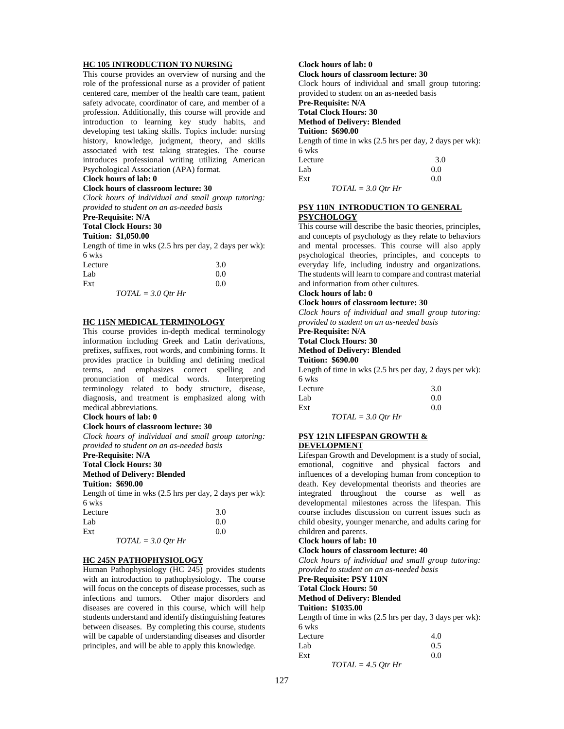#### **HC 105 INTRODUCTION TO NURSING**

This course provides an overview of nursing and the role of the professional nurse as a provider of patient centered care, member of the health care team, patient safety advocate, coordinator of care, and member of a profession. Additionally, this course will provide and introduction to learning key study habits, and developing test taking skills. Topics include: nursing history, knowledge, judgment, theory, and skills associated with test taking strategies. The course introduces professional writing utilizing American Psychological Association (APA) format.

#### **Clock hours of lab: 0**

#### **Clock hours of classroom lecture: 30**

*Clock hours of individual and small group tutoring: provided to student on an as-needed basis*

## **Pre-Requisite: N/A**

#### **Total Clock Hours: 30**

**Tuition: \$1,050.00**

Length of time in wks (2.5 hrs per day, 2 days per wk): 6 wks

| Lecture |                      | 3.0 |
|---------|----------------------|-----|
| Lab     |                      | 0.0 |
| Ext     |                      | 0.0 |
|         | $TOTAL = 3.0$ Otr Hr |     |

#### **HC 115N MEDICAL TERMINOLOGY**

This course provides in-depth medical terminology information including Greek and Latin derivations, prefixes, suffixes, root words, and combining forms. It provides practice in building and defining medical terms, and emphasizes correct spelling and pronunciation of medical words. Interpreting terminology related to body structure, disease, diagnosis, and treatment is emphasized along with medical abbreviations.

### **Clock hours of lab: 0**

#### **Clock hours of classroom lecture: 30**

*Clock hours of individual and small group tutoring: provided to student on an as-needed basis*

# **Pre-Requisite: N/A**

**Total Clock Hours: 30 Method of Delivery: Blended**

# **Tuition: \$690.00**

Length of time in wks (2.5 hrs per day, 2 days per wk): 6 wks

| Lecture              | 3.0 |
|----------------------|-----|
| Lab                  | 0.0 |
| Ext                  | 0.0 |
| $TOTAL = 3.0$ Otr Hr |     |

### **HC 245N PATHOPHYSIOLOGY**

Human Pathophysiology (HC 245) provides students with an introduction to pathophysiology. The course will focus on the concepts of disease processes, such as infections and tumors. Other major disorders and diseases are covered in this course, which will help students understand and identify distinguishing features between diseases. By completing this course, students will be capable of understanding diseases and disorder principles, and will be able to apply this knowledge.

# **Clock hours of lab: 0**

**Clock hours of classroom lecture: 30** Clock hours of individual and small group tutoring:

provided to student on an as-needed basis

**Pre-Requisite: N/A**

**Total Clock Hours: 30**

**Method of Delivery: Blended**

**Tuition: \$690.00**

Length of time in wks (2.5 hrs per day, 2 days per wk): 6 wks Lecture 3.0

| -------              | . . |
|----------------------|-----|
| Lab                  | 0.0 |
| Ext                  | 0.0 |
| $TOTAL = 3.0$ Otr Hr |     |

### **PSY 110N INTRODUCTION TO GENERAL PSYCHOLOGY**

This course will describe the basic theories, principles, and concepts of psychology as they relate to behaviors and mental processes. This course will also apply psychological theories, principles, and concepts to everyday life, including industry and organizations. The students will learn to compare and contrast material and information from other cultures.

#### **Clock hours of lab: 0**

### **Clock hours of classroom lecture: 30**

*Clock hours of individual and small group tutoring: provided to student on an as-needed basis*

# **Pre-Requisite: N/A**

**Total Clock Hours: 30**

**Method of Delivery: Blended Tuition: \$690.00**

Length of time in wks (2.5 hrs per day, 2 days per wk):

| 6 wks   |     |
|---------|-----|
| Lecture | 3.0 |
| Lab     | 0.0 |
| Ext     | 0.0 |
|         |     |

*TOTAL = 3.0 Qtr Hr*

#### **PSY 121N LIFESPAN GROWTH & DEVELOPMENT**

Lifespan Growth and Development is a study of social, emotional, cognitive and physical factors and influences of a developing human from conception to death. Key developmental theorists and theories are integrated throughout the course as well as developmental milestones across the lifespan. This course includes discussion on current issues such as child obesity, younger menarche, and adults caring for children and parents.

#### **Clock hours of lab: 10**

#### **Clock hours of classroom lecture: 40**

*Clock hours of individual and small group tutoring: provided to student on an as-needed basis*

**Pre-Requisite: PSY 110N**

# **Total Clock Hours: 50**

**Method of Delivery: Blended**

# **Tuition: \$1035.00**

Length of time in wks (2.5 hrs per day, 3 days per wk): 6 wks

| Lecture              | 4.0 |
|----------------------|-----|
| Lab                  | 0.5 |
| Ext                  | 0.0 |
| $TOTAL = 4.5 Qtr Hr$ |     |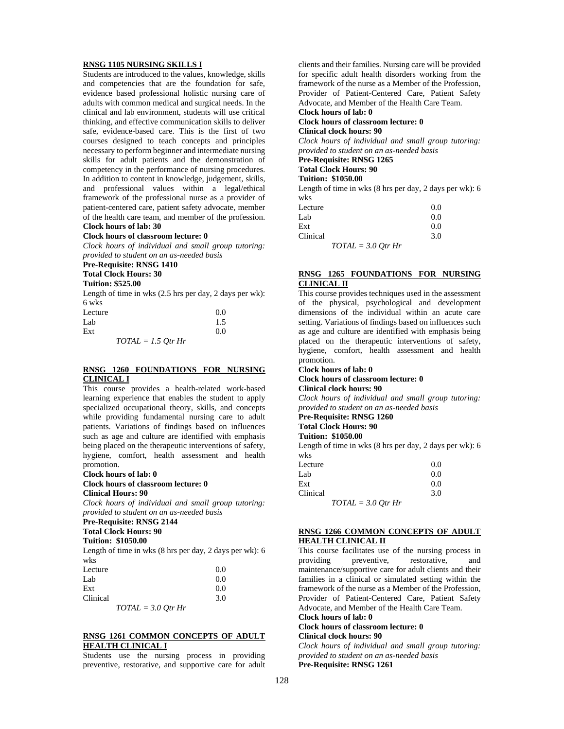#### **RNSG 1105 NURSING SKILLS I**

Students are introduced to the values, knowledge, skills and competencies that are the foundation for safe, evidence based professional holistic nursing care of adults with common medical and surgical needs. In the clinical and lab environment, students will use critical thinking, and effective communication skills to deliver safe, evidence-based care. This is the first of two courses designed to teach concepts and principles necessary to perform beginner and intermediate nursing skills for adult patients and the demonstration of competency in the performance of nursing procedures. In addition to content in knowledge, judgement, skills, and professional values within a legal/ethical framework of the professional nurse as a provider of patient-centered care, patient safety advocate, member of the health care team, and member of the profession. **Clock hours of lab: 30** 

#### **Clock hours of classroom lecture: 0**

*Clock hours of individual and small group tutoring: provided to student on an as-needed basis*

# **Pre-Requisite: RNSG 1410**

**Total Clock Hours: 30**

# **Tuition: \$525.00**

Length of time in wks (2.5 hrs per day, 2 days per wk): 6 wks

| Lecture              | 0.0 |
|----------------------|-----|
| Lab                  | 1.5 |
| Ext                  | 0.0 |
| $TOTAL = 1.5 Qtr Hr$ |     |

#### **RNSG 1260 FOUNDATIONS FOR NURSING CLINICAL I**

This course provides a health-related work-based learning experience that enables the student to apply specialized occupational theory, skills, and concepts while providing fundamental nursing care to adult patients. Variations of findings based on influences such as age and culture are identified with emphasis being placed on the therapeutic interventions of safety, hygiene, comfort, health assessment and health promotion.

#### **Clock hours of lab: 0**

#### **Clock hours of classroom lecture: 0 Clinical Hours: 90**

*Clock hours of individual and small group tutoring: provided to student on an as-needed basis*

#### **Pre-Requisite: RNSG 2144**

**Total Clock Hours: 90**

# **Tuition: \$1050.00**

Length of time in wks (8 hrs per day, 2 days per wk): 6 wks

| Lecture  |                      | 0.0 |
|----------|----------------------|-----|
| Lab      |                      | 0.0 |
| Ext      |                      | 0.0 |
| Clinical |                      | 3.0 |
|          | $TOTAL = 3.0$ Otr Hr |     |

#### **RNSG 1261 COMMON CONCEPTS OF ADULT HEALTH CLINICAL I**

Students use the nursing process in providing preventive, restorative, and supportive care for adult clients and their families. Nursing care will be provided for specific adult health disorders working from the framework of the nurse as a Member of the Profession, Provider of Patient-Centered Care, Patient Safety Advocate, and Member of the Health Care Team.

# **Clock hours of lab: 0**

**Clock hours of classroom lecture: 0 Clinical clock hours: 90**

*Clock hours of individual and small group tutoring: provided to student on an as-needed basis*

# **Pre-Requisite: RNSG 1265**

# **Total Clock Hours: 90**

## **Tuition: \$1050.00**

Length of time in wks (8 hrs per day, 2 days per wk): 6 wks

| Lecture  |                      | 0.0 |
|----------|----------------------|-----|
| Lab      |                      | 0.0 |
| Ext      |                      | 0.0 |
| Clinical |                      | 3.0 |
|          | $TOTAL = 3.0 Qtr Hr$ |     |

### **RNSG 1265 FOUNDATIONS FOR NURSING CLINICAL II**

This course provides techniques used in the assessment of the physical, psychological and development dimensions of the individual within an acute care setting. Variations of findings based on influences such as age and culture are identified with emphasis being placed on the therapeutic interventions of safety, hygiene, comfort, health assessment and health promotion.

# **Clock hours of lab: 0**

#### **Clock hours of classroom lecture: 0 Clinical clock hours: 90**

*Clock hours of individual and small group tutoring: provided to student on an as-needed basis*

# **Pre-Requisite: RNSG 1260**

#### **Total Clock Hours: 90 Tuition: \$1050.00**

Length of time in wks (8 hrs per day, 2 days per wk): 6 wks

| Lecture  |                      | 0.0 |
|----------|----------------------|-----|
| Lab      |                      | 0.0 |
| Ext      |                      | 0.0 |
| Clinical |                      | 3.0 |
|          | $TOTAL = 3.0$ Otr Hr |     |

### **RNSG 1266 COMMON CONCEPTS OF ADULT HEALTH CLINICAL II**

This course facilitates use of the nursing process in providing preventive, and providing preventive, restorative, and maintenance/supportive care for adult clients and their families in a clinical or simulated setting within the framework of the nurse as a Member of the Profession, Provider of Patient-Centered Care, Patient Safety Advocate, and Member of the Health Care Team. **Clock hours of lab: 0** 

# **Clock hours of classroom lecture: 0**

**Clinical clock hours: 90**

*Clock hours of individual and small group tutoring: provided to student on an as-needed basis* **Pre-Requisite: RNSG 1261**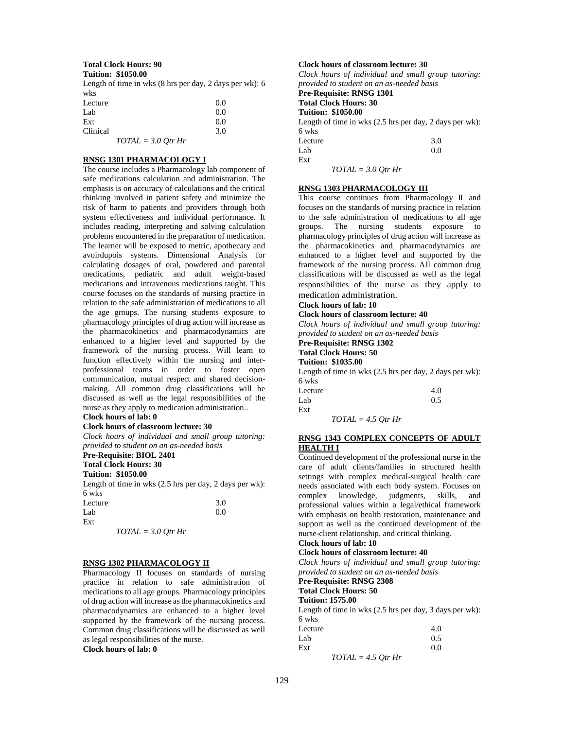#### **Total Clock Hours: 90 Tuition: \$1050.00**

Length of time in wks (8 hrs per day, 2 days per wk): 6 wks

| Lecture  |                      | 0.0 |
|----------|----------------------|-----|
| Lab      |                      | 0.0 |
| Ext      |                      | 0.0 |
| Clinical |                      | 3.0 |
|          | $TOTAL = 3.0 Qtr Hr$ |     |

#### **RNSG 1301 PHARMACOLOGY I**

The course includes a Pharmacology lab component of safe medications calculation and administration. The emphasis is on accuracy of calculations and the critical thinking involved in patient safety and minimize the risk of harm to patients and providers through both system effectiveness and individual performance. It includes reading, interpreting and solving calculation problems encountered in the preparation of medication. The learner will be exposed to metric, apothecary and avoirdupois systems. Dimensional Analysis for calculating dosages of oral, powdered and parental medications, pediatric and adult weight-based medications and intravenous medications taught. This course focuses on the standards of nursing practice in relation to the safe administration of medications to all the age groups. The nursing students exposure to pharmacology principles of drug action will increase as the pharmacokinetics and pharmacodynamics are enhanced to a higher level and supported by the framework of the nursing process. Will learn to function effectively within the nursing and interprofessional teams in order to foster open communication, mutual respect and shared decisionmaking. All common drug classifications will be discussed as well as the legal responsibilities of the nurse as they apply to medication administration.. **Clock hours of lab: 0** 

# **Clock hours of classroom lecture: 30**

*Clock hours of individual and small group tutoring: provided to student on an as-needed basis*

# **Pre-Requisite: BIOL 2401**

**Total Clock Hours: 30**

# **Tuition: \$1050.00**

Length of time in wks (2.5 hrs per day, 2 days per wk): 6 wks

| Lecture              | 3.0 |
|----------------------|-----|
| Lab                  | 0.0 |
| Ext                  |     |
| $TOTAL = 3.0$ Otr Hr |     |

#### **RNSG 1302 PHARMACOLOGY II**

Pharmacology II focuses on standards of nursing practice in relation to safe administration of medications to all age groups. Pharmacology principles of drug action will increase as the pharmacokinetics and pharmacodynamics are enhanced to a higher level supported by the framework of the nursing process. Common drug classifications will be discussed as well as legal responsibilities of the nurse. **Clock hours of lab: 0** 

#### **Clock hours of classroom lecture: 30**

*Clock hours of individual and small group tutoring: provided to student on an as-needed basis* **Pre-Requisite: RNSG 1301 Total Clock Hours: 30 Tuition: \$1050.00** Length of time in wks (2.5 hrs per day, 2 days per wk): 6 wks Lecture 3.0  $Lab$  0.0

*TOTAL = 3.0 Qtr Hr*

Ext

#### **RNSG 1303 PHARMACOLOGY III**

This course continues from Pharmacology II and focuses on the standards of nursing practice in relation to the safe administration of medications to all age groups. The nursing students exposure to pharmacology principles of drug action will increase as the pharmacokinetics and pharmacodynamics are enhanced to a higher level and supported by the framework of the nursing process. All common drug classifications will be discussed as well as the legal responsibilities of the nurse as they apply to medication administration.

# **Clock hours of lab: 10**

**Clock hours of classroom lecture: 40**

*Clock hours of individual and small group tutoring: provided to student on an as-needed basis*

**Pre-Requisite: RNSG 1302**

### **Total Clock Hours: 50**

**Tuition: \$1035.00**

Length of time in wks (2.5 hrs per day, 2 days per wk): 6 wks

| Lecture |  | 4.0 |
|---------|--|-----|
| Lab     |  | 0.5 |
| Ext     |  |     |
|         |  |     |

# *TOTAL = 4.5 Qtr Hr*

#### **RNSG 1343 COMPLEX CONCEPTS OF ADULT HEALTH I**

Continued development of the professional nurse in the care of adult clients/families in structured health settings with complex medical-surgical health care needs associated with each body system. Focuses on complex knowledge, judgments, skills, and professional values within a legal/ethical framework with emphasis on health restoration, maintenance and support as well as the continued development of the nurse-client relationship, and critical thinking.

#### **Clock hours of lab: 10**

### **Clock hours of classroom lecture: 40**

*Clock hours of individual and small group tutoring: provided to student on an as-needed basis*

**Pre-Requisite: RNSG 2308**

**Total Clock Hours: 50**

**Tuition: 1575.00**

Length of time in wks (2.5 hrs per day, 3 days per wk): 6 wks

| Lecture |                      | 4.0 |
|---------|----------------------|-----|
| Lab     |                      | 0.5 |
| Ext     |                      | 0.0 |
|         | $TOTAL = 4.5 Qtr Hr$ |     |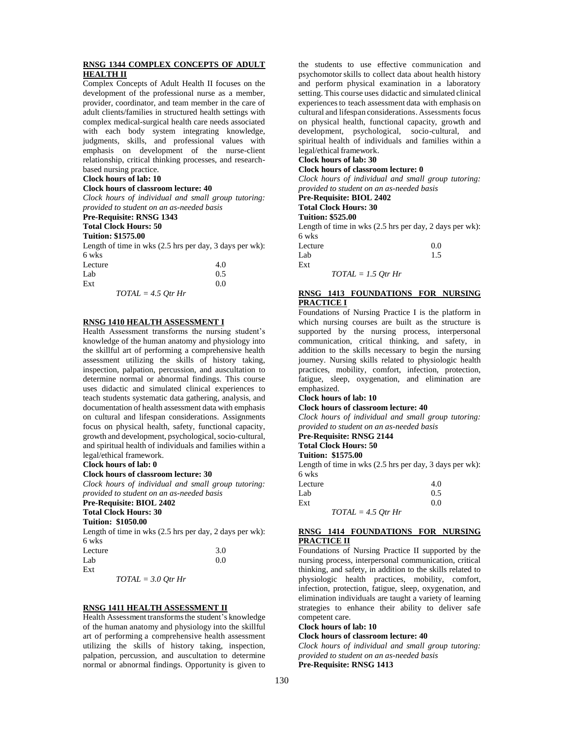### **RNSG 1344 COMPLEX CONCEPTS OF ADULT HEALTH II**

Complex Concepts of Adult Health II focuses on the development of the professional nurse as a member, provider, coordinator, and team member in the care of adult clients/families in structured health settings with complex medical-surgical health care needs associated with each body system integrating knowledge, judgments, skills, and professional values with emphasis on development of the nurse-client relationship, critical thinking processes, and researchbased nursing practice.

#### **Clock hours of lab: 10**

#### **Clock hours of classroom lecture: 40**

*Clock hours of individual and small group tutoring: provided to student on an as-needed basis*

#### **Pre-Requisite: RNSG 1343**

**Total Clock Hours: 50**

#### **Tuition: \$1575.00**

Length of time in wks (2.5 hrs per day, 3 days per wk): 6 wks

| Lecture |                      | 4.0 |
|---------|----------------------|-----|
| Lab     |                      | 0.5 |
| Ext     |                      | 0.0 |
|         | $TOTAL = 4.5 Qtr Hr$ |     |

### **RNSG 1410 HEALTH ASSESSMENT I**

Health Assessment transforms the nursing student's knowledge of the human anatomy and physiology into the skillful art of performing a comprehensive health assessment utilizing the skills of history taking, inspection, palpation, percussion, and auscultation to determine normal or abnormal findings. This course uses didactic and simulated clinical experiences to teach students systematic data gathering, analysis, and documentation of health assessment data with emphasis on cultural and lifespan considerations. Assignments focus on physical health, safety, functional capacity, growth and development, psychological, socio-cultural, and spiritual health of individuals and families within a legal/ethical framework.

#### **Clock hours of lab: 0**

#### **Clock hours of classroom lecture: 30**

*Clock hours of individual and small group tutoring: provided to student on an as-needed basis* **Pre-Requisite: BIOL 2402**

## **Total Clock Hours: 30**

**Tuition: \$1050.00**

Length of time in wks (2.5 hrs per day, 2 days per wk): 6 wks

| Lecture | 3.0 |
|---------|-----|
| Lab     | 0.0 |
| Ext     |     |

*TOTAL = 3.0 Qtr Hr*

#### **RNSG 1411 HEALTH ASSESSMENT II**

Health Assessment transforms the student's knowledge of the human anatomy and physiology into the skillful art of performing a comprehensive health assessment utilizing the skills of history taking, inspection, palpation, percussion, and auscultation to determine normal or abnormal findings. Opportunity is given to

the students to use effective communication and psychomotor skills to collect data about health history and perform physical examination in a laboratory setting. This course uses didactic and simulated clinical experiences to teach assessment data with emphasis on cultural and lifespan considerations. Assessments focus on physical health, functional capacity, growth and development, psychological, socio-cultural, and spiritual health of individuals and families within a legal/ethical framework.

#### **Clock hours of lab: 30 Clock hours of classroom lecture: 0**

*Clock hours of individual and small group tutoring:* 

*provided to student on an as-needed basis*

#### **Pre-Requisite: BIOL 2402 Total Clock Hours: 30**

## **Tuition: \$525.00**

Length of time in wks (2.5 hrs per day, 2 days per wk): 6 wks

| Lecture              | 0.0 |
|----------------------|-----|
| Lab                  | 1.5 |
| Ext                  |     |
| $TOTAL = 1.5 Qtr Hr$ |     |

#### **RNSG 1413 FOUNDATIONS FOR NURSING PRACTICE I**

Foundations of Nursing Practice I is the platform in which nursing courses are built as the structure is supported by the nursing process, interpersonal communication, critical thinking, and safety, in addition to the skills necessary to begin the nursing journey. Nursing skills related to physiologic health practices, mobility, comfort, infection, protection, fatigue, sleep, oxygenation, and elimination are emphasized.

# **Clock hours of lab: 10**

# **Clock hours of classroom lecture: 40**

*Clock hours of individual and small group tutoring: provided to student on an as-needed basis*

# **Pre-Requisite: RNSG 2144**

# **Total Clock Hours: 50**

## **Tuition: \$1575.00**

Length of time in wks (2.5 hrs per day, 3 days per wk): 6 wks

| Lecture |                      | 4.0 |
|---------|----------------------|-----|
| Lab     |                      | 0.5 |
| Ext     |                      | 0.0 |
|         | $TOTAL = 4.5 Qtr Hr$ |     |

### **RNSG 1414 FOUNDATIONS FOR NURSING PRACTICE II**

Foundations of Nursing Practice II supported by the nursing process, interpersonal communication, critical thinking, and safety, in addition to the skills related to physiologic health practices, mobility, comfort, infection, protection, fatigue, sleep, oxygenation, and elimination individuals are taught a variety of learning strategies to enhance their ability to deliver safe competent care.

#### **Clock hours of lab: 10**

**Clock hours of classroom lecture: 40**

*Clock hours of individual and small group tutoring: provided to student on an as-needed basis* **Pre-Requisite: RNSG 1413**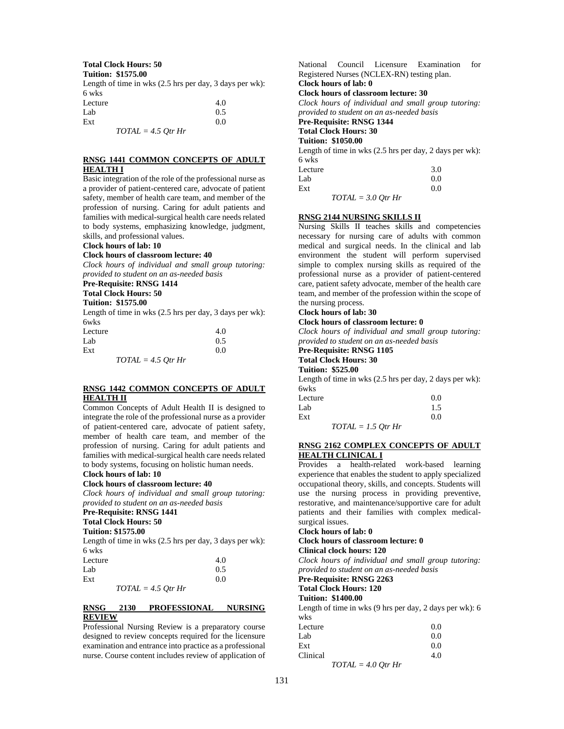#### **Total Clock Hours: 50 Tuition: \$1575.00**

Length of time in wks (2.5 hrs per day, 3 days per wk): 6 wks

| .       |                      |     |
|---------|----------------------|-----|
| Lecture |                      | 4.0 |
| Lab     |                      | 0.5 |
| Ext     |                      | 0.0 |
|         | $TOTAL = 4.5 Qtr Hr$ |     |

#### **RNSG 1441 COMMON CONCEPTS OF ADULT HEALTH I**

Basic integration of the role of the professional nurse as a provider of patient-centered care, advocate of patient safety, member of health care team, and member of the profession of nursing. Caring for adult patients and families with medical-surgical health care needs related to body systems, emphasizing knowledge, judgment, skills, and professional values.

#### **Clock hours of lab: 10**

#### **Clock hours of classroom lecture: 40**

*Clock hours of individual and small group tutoring: provided to student on an as-needed basis*

# **Pre-Requisite: RNSG 1414**

# **Total Clock Hours: 50**

**Tuition: \$1575.00**

Length of time in wks (2.5 hrs per day, 3 days per wk): 6wks

| Lecture              | 4.0 |
|----------------------|-----|
| Lab                  | 0.5 |
| Ext                  | 0.0 |
| $TOTAL = 4.5$ Otr Hr |     |

### **RNSG 1442 COMMON CONCEPTS OF ADULT HEALTH II**

Common Concepts of Adult Health II is designed to integrate the role of the professional nurse as a provider of patient-centered care, advocate of patient safety, member of health care team, and member of the profession of nursing. Caring for adult patients and families with medical-surgical health care needs related to body systems, focusing on holistic human needs.

# **Clock hours of lab: 10**

#### **Clock hours of classroom lecture: 40**

*Clock hours of individual and small group tutoring: provided to student on an as-needed basis*

#### **Pre-Requisite: RNSG 1441**

**Total Clock Hours: 50**

#### **Tuition: \$1575.00**

Length of time in wks (2.5 hrs per day, 3 days per wk): 6 wks

| Lecture | 4.0                  |
|---------|----------------------|
| Lab     | 0.5                  |
| Ext     | 0.0                  |
|         | $TOTAL = 4.5$ Otr Hr |

#### **RNSG 2130 PROFESSIONAL NURSING REVIEW**

Professional Nursing Review is a preparatory course designed to review concepts required for the licensure examination and entrance into practice as a professional nurse. Course content includes review of application of National Council Licensure Examination for Registered Nurses (NCLEX-RN) testing plan. **Clock hours of lab: 0** 

### **Clock hours of classroom lecture: 30**

*Clock hours of individual and small group tutoring: provided to student on an as-needed basis*

**Pre-Requisite: RNSG 1344 Total Clock Hours: 30**

# **Tuition: \$1050.00**

Length of time in wks (2.5 hrs per day, 2 days per wk):

| 6 wks   |                        |                  |     |
|---------|------------------------|------------------|-----|
| Lecture |                        |                  | 3.0 |
| Lab     |                        |                  | 0.0 |
| Ext     |                        |                  | 0.0 |
|         | $T$ $\cap T$ $\in$ $T$ | $20.0 \times 11$ |     |

*TOTAL = 3.0 Qtr Hr*

#### **RNSG 2144 NURSING SKILLS II**

Nursing Skills II teaches skills and competencies necessary for nursing care of adults with common medical and surgical needs. In the clinical and lab environment the student will perform supervised simple to complex nursing skills as required of the professional nurse as a provider of patient-centered care, patient safety advocate, member of the health care team, and member of the profession within the scope of the nursing process.

#### **Clock hours of lab: 30**

#### **Clock hours of classroom lecture: 0**

*Clock hours of individual and small group tutoring: provided to student on an as-needed basis*

# **Pre-Requisite: RNSG 1105 Total Clock Hours: 30**

**Tuition: \$525.00**

Length of time in wks (2.5 hrs per day, 2 days per wk): 6wks

| Lecture |                      | 0.0 |
|---------|----------------------|-----|
| Lab     |                      | 1.5 |
| Ext     |                      | 0.0 |
|         | $TOTAL = 1.5$ Otr Hr |     |

### **RNSG 2162 COMPLEX CONCEPTS OF ADULT HEALTH CLINICAL I**

Provides a health-related work-based learning experience that enables the student to apply specialized occupational theory, skills, and concepts. Students will use the nursing process in providing preventive, restorative, and maintenance/supportive care for adult patients and their families with complex medicalsurgical issues.

#### **Clock hours of lab: 0**

**Clock hours of classroom lecture: 0 Clinical clock hours: 120**

*Clock hours of individual and small group tutoring: provided to student on an as-needed basis*

**Pre-Requisite: RNSG 2263**

### **Total Clock Hours: 120**

### **Tuition: \$1400.00**

Length of time in wks (9 hrs per day, 2 days per wk): 6 wks

| Lecture  |                      | 0.0 |
|----------|----------------------|-----|
| Lab      |                      | 0.0 |
| Ext      |                      | 0.0 |
| Clinical |                      | 4.0 |
|          | $TOTAL = 4.0$ Otr Hr |     |

131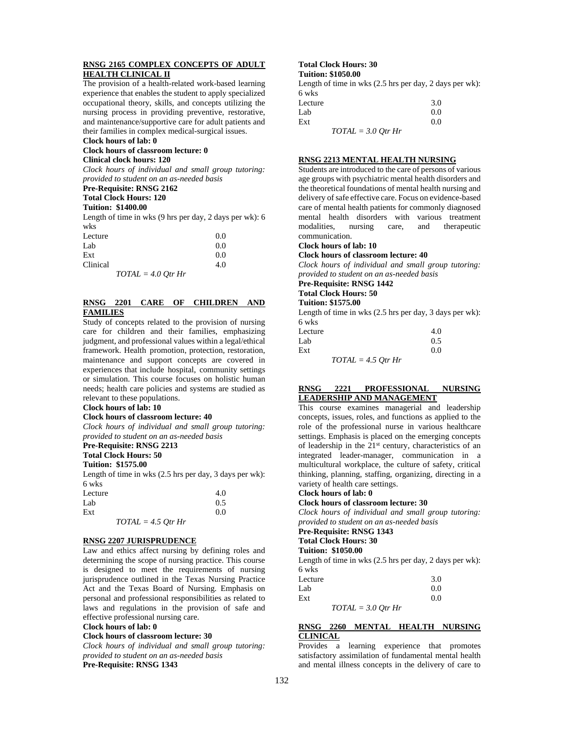### **RNSG 2165 COMPLEX CONCEPTS OF ADULT HEALTH CLINICAL II**

The provision of a health-related work-based learning experience that enables the student to apply specialized occupational theory, skills, and concepts utilizing the nursing process in providing preventive, restorative, and maintenance/supportive care for adult patients and their families in complex medical-surgical issues.

### **Clock hours of lab: 0**

**Clock hours of classroom lecture: 0**

#### **Clinical clock hours: 120**

*Clock hours of individual and small group tutoring: provided to student on an as-needed basis*

#### **Pre-Requisite: RNSG 2162**

**Total Clock Hours: 120**

#### **Tuition: \$1400.00**

Length of time in wks (9 hrs per day, 2 days per wk): 6 wks

| Lecture  |                      | 0.0 |
|----------|----------------------|-----|
| Lab      |                      | 0.0 |
| Ext      |                      | 0.0 |
| Clinical |                      | 4.0 |
|          | $TOTAL = 4.0 Qtr Hr$ |     |

#### **RNSG 2201 CARE OF CHILDREN AND FAMILIES**

Study of concepts related to the provision of nursing care for children and their families, emphasizing judgment, and professional values within a legal/ethical framework. Health promotion, protection, restoration, maintenance and support concepts are covered in experiences that include hospital, community settings or simulation. This course focuses on holistic human needs; health care policies and systems are studied as relevant to these populations.

#### **Clock hours of lab: 10**

#### **Clock hours of classroom lecture: 40**

*Clock hours of individual and small group tutoring: provided to student on an as-needed basis*

# **Pre-Requisite: RNSG 2213**

**Total Clock Hours: 50**

# **Tuition: \$1575.00**

Length of time in wks (2.5 hrs per day, 3 days per wk): 6 wks

| Lecture |                      | 4.0 |
|---------|----------------------|-----|
| Lab     |                      | 0.5 |
| Ext     |                      | 0.0 |
|         | $TOTAL = 4.5$ Otr Hr |     |

# **RNSG 2207 JURISPRUDENCE**

Law and ethics affect nursing by defining roles and determining the scope of nursing practice. This course is designed to meet the requirements of nursing jurisprudence outlined in the Texas Nursing Practice Act and the Texas Board of Nursing. Emphasis on personal and professional responsibilities as related to laws and regulations in the provision of safe and effective professional nursing care.

#### **Clock hours of lab: 0**

**Clock hours of classroom lecture: 30**

*Clock hours of individual and small group tutoring: provided to student on an as-needed basis*

**Pre-Requisite: RNSG 1343**

# **Total Clock Hours: 30**

**Tuition: \$1050.00** 

Length of time in wks (2.5 hrs per day, 2 days per wk): 6 wks Lecture  $3.0$ 

| Luur                 | J.V |
|----------------------|-----|
| Lab                  | 0.0 |
| Ext                  | 0.0 |
| $TOTAL = 3.0 Qtr Hr$ |     |

#### **RNSG 2213 MENTAL HEALTH NURSING**

Students are introduced to the care of persons of various age groups with psychiatric mental health disorders and the theoretical foundations of mental health nursing and delivery of safe effective care. Focus on evidence-based care of mental health patients for commonly diagnosed mental health disorders with various treatment modalities, nursing care, and therapeutic communication.

#### **Clock hours of lab: 10**

**Clock hours of classroom lecture: 40**

*Clock hours of individual and small group tutoring: provided to student on an as-needed basis*

# **Pre-Requisite: RNSG 1442**

# **Total Clock Hours: 50**

# **Tuition: \$1575.00**

Length of time in wks (2.5 hrs per day, 3 days per wk): 6 wks

| Lecture |                      | 4.0 |
|---------|----------------------|-----|
| Lab     |                      | 0.5 |
| Ext     |                      | 0.0 |
|         | $TOTAL = 4.5$ Otr Hr |     |

#### **RNSG 2221 PROFESSIONAL NURSING LEADERSHIP AND MANAGEMENT**

This course examines managerial and leadership concepts, issues, roles, and functions as applied to the role of the professional nurse in various healthcare settings. Emphasis is placed on the emerging concepts of leadership in the 21<sup>st</sup> century, characteristics of an integrated leader-manager, communication in a multicultural workplace, the culture of safety, critical thinking, planning, staffing, organizing, directing in a variety of health care settings.

### **Clock hours of lab: 0**

**Clock hours of classroom lecture: 30**

*Clock hours of individual and small group tutoring: provided to student on an as-needed basis*

#### **Pre-Requisite: RNSG 1343 Total Clock Hours: 30**

### **Tuition: \$1050.00**

Length of time in wks (2.5 hrs per day, 2 days per wk): 6 wks

| Lecture |                      | 3.0 |
|---------|----------------------|-----|
| Lab     |                      | 0.0 |
| Ext     |                      | 0.0 |
|         | $TOTAL = 3.0$ Otr Hr |     |

#### **RNSG 2260 MENTAL HEALTH NURSING CLINICAL**

Provides a learning experience that promotes satisfactory assimilation of fundamental mental health and mental illness concepts in the delivery of care to